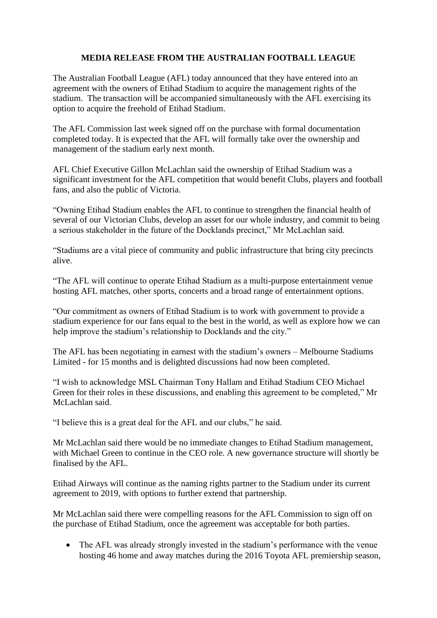## **MEDIA RELEASE FROM THE AUSTRALIAN FOOTBALL LEAGUE**

The Australian Football League (AFL) today announced that they have entered into an agreement with the owners of Etihad Stadium to acquire the management rights of the stadium. The transaction will be accompanied simultaneously with the AFL exercising its option to acquire the freehold of Etihad Stadium.

The AFL Commission last week signed off on the purchase with formal documentation completed today. It is expected that the AFL will formally take over the ownership and management of the stadium early next month.

AFL Chief Executive Gillon McLachlan said the ownership of Etihad Stadium was a significant investment for the AFL competition that would benefit Clubs, players and football fans, and also the public of Victoria.

"Owning Etihad Stadium enables the AFL to continue to strengthen the financial health of several of our Victorian Clubs, develop an asset for our whole industry, and commit to being a serious stakeholder in the future of the Docklands precinct," Mr McLachlan said.

"Stadiums are a vital piece of community and public infrastructure that bring city precincts alive.

"The AFL will continue to operate Etihad Stadium as a multi-purpose entertainment venue hosting AFL matches, other sports, concerts and a broad range of entertainment options.

"Our commitment as owners of Etihad Stadium is to work with government to provide a stadium experience for our fans equal to the best in the world, as well as explore how we can help improve the stadium's relationship to Docklands and the city."

The AFL has been negotiating in earnest with the stadium's owners – Melbourne Stadiums Limited - for 15 months and is delighted discussions had now been completed.

"I wish to acknowledge MSL Chairman Tony Hallam and Etihad Stadium CEO Michael Green for their roles in these discussions, and enabling this agreement to be completed," Mr McLachlan said.

"I believe this is a great deal for the AFL and our clubs," he said.

Mr McLachlan said there would be no immediate changes to Etihad Stadium management, with Michael Green to continue in the CEO role. A new governance structure will shortly be finalised by the AFL.

Etihad Airways will continue as the naming rights partner to the Stadium under its current agreement to 2019, with options to further extend that partnership.

Mr McLachlan said there were compelling reasons for the AFL Commission to sign off on the purchase of Etihad Stadium, once the agreement was acceptable for both parties.

• The AFL was already strongly invested in the stadium's performance with the venue hosting 46 home and away matches during the 2016 Toyota AFL premiership season,